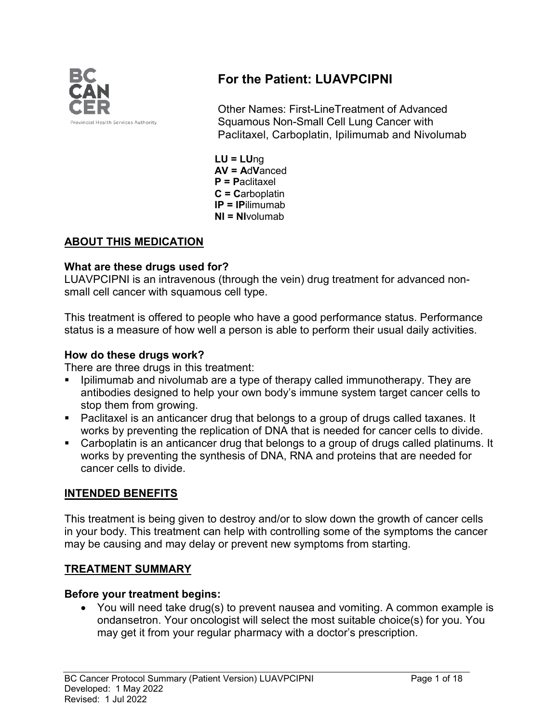

# **For the Patient: LUAVPCIPNI**

Other Names: First-LineTreatment of Advanced Squamous Non-Small Cell Lung Cancer with Paclitaxel, Carboplatin, Ipilimumab and Nivolumab

**LU = LU**ng **AV = A**d**V**anced **P = P**aclitaxel **C = C**arboplatin **IP = IP**ilimumab **NI = NI**volumab

### **ABOUT THIS MEDICATION**

### **What are these drugs used for?**

LUAVPCIPNI is an intravenous (through the vein) drug treatment for advanced nonsmall cell cancer with squamous cell type.

This treatment is offered to people who have a good performance status. Performance status is a measure of how well a person is able to perform their usual daily activities.

### **How do these drugs work?**

There are three drugs in this treatment:

- Ipilimumab and nivolumab are a type of therapy called immunotherapy. They are antibodies designed to help your own body's immune system target cancer cells to stop them from growing.
- Paclitaxel is an anticancer drug that belongs to a group of drugs called taxanes. It works by preventing the replication of DNA that is needed for cancer cells to divide.
- Carboplatin is an anticancer drug that belongs to a group of drugs called platinums. It works by preventing the synthesis of DNA, RNA and proteins that are needed for cancer cells to divide.

### **INTENDED BENEFITS**

This treatment is being given to destroy and/or to slow down the growth of cancer cells in your body. This treatment can help with controlling some of the symptoms the cancer may be causing and may delay or prevent new symptoms from starting.

### **TREATMENT SUMMARY**

### **Before your treatment begins:**

• You will need take drug(s) to prevent nausea and vomiting. A common example is ondansetron. Your oncologist will select the most suitable choice(s) for you. You may get it from your regular pharmacy with a doctor's prescription.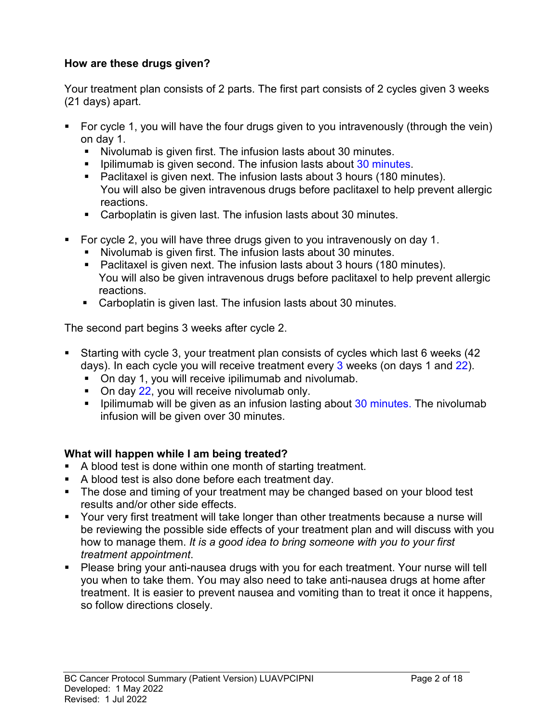### **How are these drugs given?**

Your treatment plan consists of 2 parts. The first part consists of 2 cycles given 3 weeks (21 days) apart.

- For cycle 1, you will have the four drugs given to you intravenously (through the vein) on day 1.
	- Nivolumab is given first. The infusion lasts about 30 minutes.
	- Dilimumab is given second. The infusion lasts about 30 minutes.
	- Paclitaxel is given next. The infusion lasts about 3 hours (180 minutes). You will also be given intravenous drugs before paclitaxel to help prevent allergic reactions.
	- Carboplatin is given last. The infusion lasts about 30 minutes.
- For cycle 2, you will have three drugs given to you intravenously on day 1.
	- Nivolumab is given first. The infusion lasts about 30 minutes.
	- Paclitaxel is given next. The infusion lasts about 3 hours (180 minutes). You will also be given intravenous drugs before paclitaxel to help prevent allergic reactions.
	- Carboplatin is given last. The infusion lasts about 30 minutes.

The second part begins 3 weeks after cycle 2.

- Starting with cycle 3, your treatment plan consists of cycles which last 6 weeks (42 days). In each cycle you will receive treatment every 3 weeks (on days 1 and 22).
	- On day 1, you will receive ipilimumab and nivolumab.
	- On day 22, you will receive nivolumab only.
	- **Ipilimumab will be given as an infusion lasting about 30 minutes. The nivolumab** infusion will be given over 30 minutes.

### **What will happen while I am being treated?**

- A blood test is done within one month of starting treatment.
- A blood test is also done before each treatment day.
- The dose and timing of your treatment may be changed based on your blood test results and/or other side effects.
- **Your very first treatment will take longer than other treatments because a nurse will** be reviewing the possible side effects of your treatment plan and will discuss with you how to manage them. *It is a good idea to bring someone with you to your first treatment appointment*.
- Please bring your anti-nausea drugs with you for each treatment. Your nurse will tell you when to take them. You may also need to take anti-nausea drugs at home after treatment. It is easier to prevent nausea and vomiting than to treat it once it happens, so follow directions closely.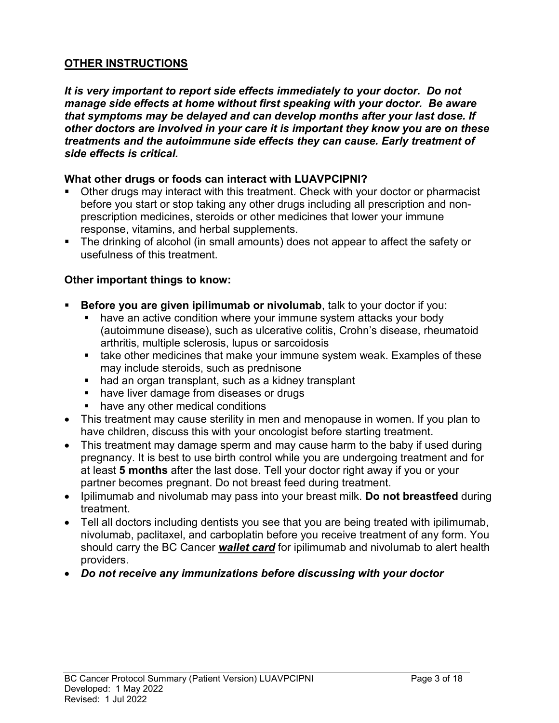### **OTHER INSTRUCTIONS**

*It is very important to report side effects immediately to your doctor. Do not manage side effects at home without first speaking with your doctor. Be aware that symptoms may be delayed and can develop months after your last dose. If other doctors are involved in your care it is important they know you are on these treatments and the autoimmune side effects they can cause. Early treatment of side effects is critical.*

#### **What other drugs or foods can interact with LUAVPCIPNI?**

- Other drugs may interact with this treatment. Check with your doctor or pharmacist before you start or stop taking any other drugs including all prescription and nonprescription medicines, steroids or other medicines that lower your immune response, vitamins, and herbal supplements.
- The drinking of alcohol (in small amounts) does not appear to affect the safety or usefulness of this treatment.

### **Other important things to know:**

- **Before you are given ipilimumab or nivolumab**, talk to your doctor if you:
	- have an active condition where your immune system attacks your body (autoimmune disease), such as ulcerative colitis, Crohn's disease, rheumatoid arthritis, multiple sclerosis, lupus or sarcoidosis
	- **take other medicines that make your immune system weak. Examples of these** may include steroids, such as prednisone
	- had an organ transplant, such as a kidney transplant
	- have liver damage from diseases or drugs
	- have any other medical conditions
- This treatment may cause sterility in men and menopause in women. If you plan to have children, discuss this with your oncologist before starting treatment.
- This treatment may damage sperm and may cause harm to the baby if used during pregnancy. It is best to use birth control while you are undergoing treatment and for at least **5 months** after the last dose. Tell your doctor right away if you or your partner becomes pregnant. Do not breast feed during treatment.
- Ipilimumab and nivolumab may pass into your breast milk. **Do not breastfeed** during treatment.
- Tell all doctors including dentists you see that you are being treated with ipilimumab, nivolumab, paclitaxel, and carboplatin before you receive treatment of any form. You should carry the BC Cancer *wallet card* for ipilimumab and nivolumab to alert health providers.
- *Do not receive any immunizations before discussing with your doctor*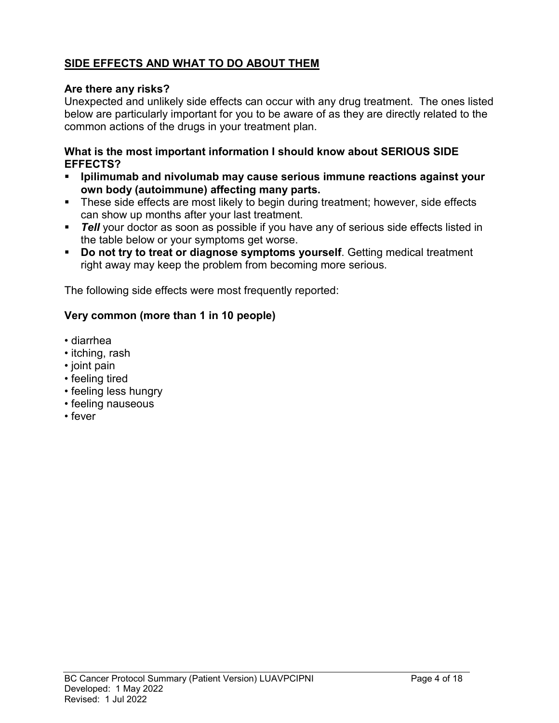## **SIDE EFFECTS AND WHAT TO DO ABOUT THEM**

### **Are there any risks?**

Unexpected and unlikely side effects can occur with any drug treatment. The ones listed below are particularly important for you to be aware of as they are directly related to the common actions of the drugs in your treatment plan.

### **What is the most important information I should know about SERIOUS SIDE EFFECTS?**

- **Ipilimumab and nivolumab may cause serious immune reactions against your own body (autoimmune) affecting many parts.**
- These side effects are most likely to begin during treatment; however, side effects can show up months after your last treatment.
- **Tell** your doctor as soon as possible if you have any of serious side effects listed in the table below or your symptoms get worse.
- **Do not try to treat or diagnose symptoms yourself**. Getting medical treatment right away may keep the problem from becoming more serious.

The following side effects were most frequently reported:

### **Very common (more than 1 in 10 people)**

- diarrhea
- itching, rash
- joint pain
- feeling tired
- feeling less hungry
- feeling nauseous
- fever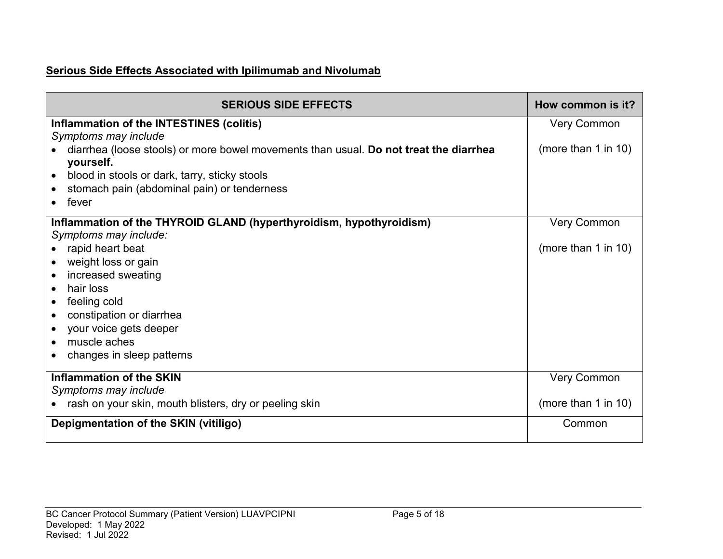# **Serious Side Effects Associated with Ipilimumab and Nivolumab**

| <b>SERIOUS SIDE EFFECTS</b>                                                                        | How common is it?   |
|----------------------------------------------------------------------------------------------------|---------------------|
| Inflammation of the INTESTINES (colitis)                                                           | <b>Very Common</b>  |
| Symptoms may include                                                                               |                     |
| diarrhea (loose stools) or more bowel movements than usual. Do not treat the diarrhea<br>yourself. | (more than 1 in 10) |
| blood in stools or dark, tarry, sticky stools                                                      |                     |
| stomach pain (abdominal pain) or tenderness                                                        |                     |
| fever                                                                                              |                     |
| Inflammation of the THYROID GLAND (hyperthyroidism, hypothyroidism)                                | <b>Very Common</b>  |
| Symptoms may include:                                                                              |                     |
| rapid heart beat                                                                                   | (more than 1 in 10) |
| weight loss or gain                                                                                |                     |
| increased sweating                                                                                 |                     |
| hair loss                                                                                          |                     |
| feeling cold                                                                                       |                     |
| constipation or diarrhea                                                                           |                     |
| your voice gets deeper                                                                             |                     |
| muscle aches                                                                                       |                     |
| changes in sleep patterns                                                                          |                     |
| <b>Inflammation of the SKIN</b>                                                                    | <b>Very Common</b>  |
| Symptoms may include                                                                               |                     |
| rash on your skin, mouth blisters, dry or peeling skin                                             | (more than 1 in 10) |
| Depigmentation of the SKIN (vitiligo)                                                              | Common              |
|                                                                                                    |                     |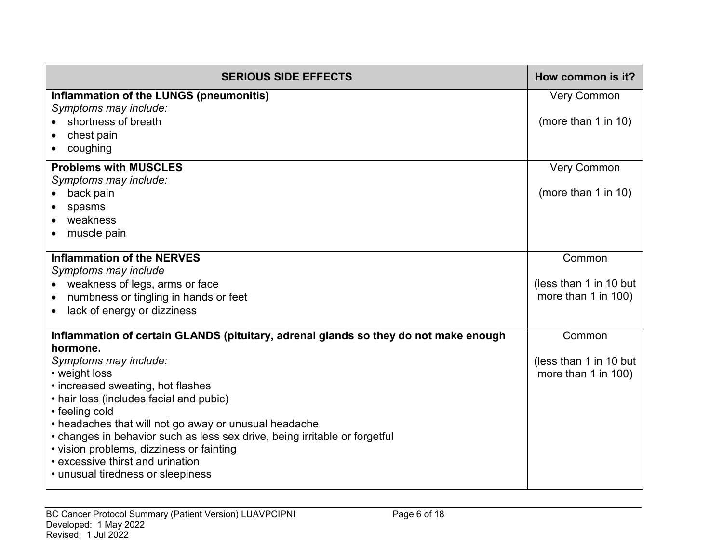| <b>SERIOUS SIDE EFFECTS</b>                                                          | How common is it?      |
|--------------------------------------------------------------------------------------|------------------------|
| Inflammation of the LUNGS (pneumonitis)                                              | <b>Very Common</b>     |
| Symptoms may include:                                                                |                        |
| shortness of breath                                                                  | (more than 1 in 10)    |
| chest pain                                                                           |                        |
| coughing                                                                             |                        |
| <b>Problems with MUSCLES</b>                                                         | <b>Very Common</b>     |
| Symptoms may include:                                                                |                        |
| back pain                                                                            | (more than 1 in 10)    |
| spasms                                                                               |                        |
| weakness<br>$\bullet$                                                                |                        |
| muscle pain                                                                          |                        |
| <b>Inflammation of the NERVES</b>                                                    | Common                 |
| Symptoms may include                                                                 |                        |
| weakness of legs, arms or face                                                       | (less than 1 in 10 but |
| numbness or tingling in hands or feet<br>$\bullet$                                   | more than 1 in 100)    |
| lack of energy or dizziness<br>$\bullet$                                             |                        |
| Inflammation of certain GLANDS (pituitary, adrenal glands so they do not make enough | Common                 |
| hormone.<br>Symptoms may include:                                                    | (less than 1 in 10 but |
| • weight loss                                                                        | more than 1 in 100)    |
| • increased sweating, hot flashes                                                    |                        |
| • hair loss (includes facial and pubic)                                              |                        |
| • feeling cold                                                                       |                        |
| • headaches that will not go away or unusual headache                                |                        |
| • changes in behavior such as less sex drive, being irritable or forgetful           |                        |
| • vision problems, dizziness or fainting                                             |                        |
| • excessive thirst and urination                                                     |                        |
| • unusual tiredness or sleepiness                                                    |                        |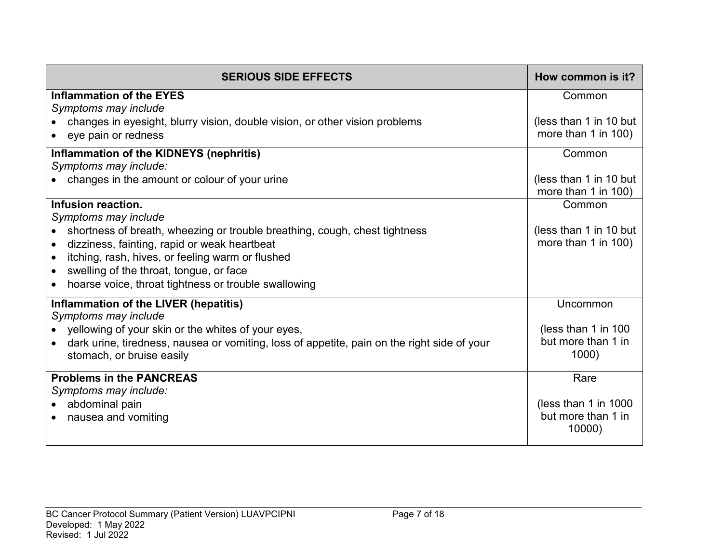| <b>SERIOUS SIDE EFFECTS</b>                                                                                                                                                                                                                                                       | How common is it?                                    |
|-----------------------------------------------------------------------------------------------------------------------------------------------------------------------------------------------------------------------------------------------------------------------------------|------------------------------------------------------|
| <b>Inflammation of the EYES</b><br>Symptoms may include                                                                                                                                                                                                                           | Common                                               |
| changes in eyesight, blurry vision, double vision, or other vision problems<br>eye pain or redness                                                                                                                                                                                | (less than 1 in 10 but<br>more than 1 in 100)        |
| Inflammation of the KIDNEYS (nephritis)<br>Symptoms may include:                                                                                                                                                                                                                  | Common                                               |
| changes in the amount or colour of your urine                                                                                                                                                                                                                                     | (less than 1 in 10 but<br>more than $1$ in $100$ )   |
| Infusion reaction.<br>Symptoms may include                                                                                                                                                                                                                                        | Common                                               |
| shortness of breath, wheezing or trouble breathing, cough, chest tightness<br>dizziness, fainting, rapid or weak heartbeat<br>itching, rash, hives, or feeling warm or flushed<br>swelling of the throat, tongue, or face<br>hoarse voice, throat tightness or trouble swallowing | (less than 1 in 10 but<br>more than 1 in 100)        |
| Inflammation of the LIVER (hepatitis)<br>Symptoms may include                                                                                                                                                                                                                     | Uncommon                                             |
| yellowing of your skin or the whites of your eyes,<br>dark urine, tiredness, nausea or vomiting, loss of appetite, pain on the right side of your<br>stomach, or bruise easily                                                                                                    | (less than 1 in 100)<br>but more than 1 in<br>1000)  |
| <b>Problems in the PANCREAS</b><br>Symptoms may include:                                                                                                                                                                                                                          | Rare                                                 |
| abdominal pain<br>$\bullet$<br>nausea and vomiting                                                                                                                                                                                                                                | (less than 1 in 1000<br>but more than 1 in<br>10000) |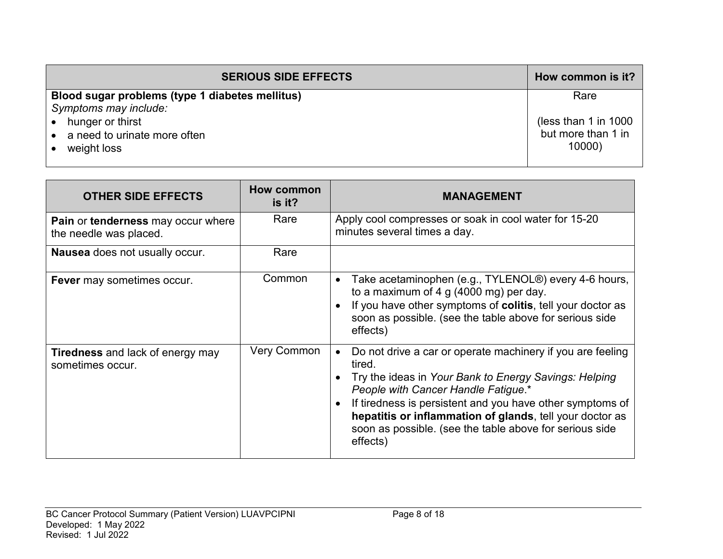| <b>SERIOUS SIDE EFFECTS</b>                     | How common is it?      |
|-------------------------------------------------|------------------------|
| Blood sugar problems (type 1 diabetes mellitus) | Rare                   |
| Symptoms may include:                           |                        |
| hunger or thirst                                | (less than 1 in $1000$ |
| a need to urinate more often                    | but more than 1 in     |
| weight loss                                     | 10000)                 |
|                                                 |                        |

| <b>OTHER SIDE EFFECTS</b>                                           | How common<br>is it? | <b>MANAGEMENT</b>                                                                                                                                                                                                                                                                                                                                                    |
|---------------------------------------------------------------------|----------------------|----------------------------------------------------------------------------------------------------------------------------------------------------------------------------------------------------------------------------------------------------------------------------------------------------------------------------------------------------------------------|
| <b>Pain or tenderness may occur where</b><br>the needle was placed. | Rare                 | Apply cool compresses or soak in cool water for 15-20<br>minutes several times a day.                                                                                                                                                                                                                                                                                |
| <b>Nausea</b> does not usually occur.                               | Rare                 |                                                                                                                                                                                                                                                                                                                                                                      |
| <b>Fever</b> may sometimes occur.                                   | Common               | Take acetaminophen (e.g., TYLENOL <sup>®</sup> ) every 4-6 hours,<br>to a maximum of 4 g $(4000 \text{ mg})$ per day.<br>If you have other symptoms of colitis, tell your doctor as<br>soon as possible. (see the table above for serious side<br>effects)                                                                                                           |
| <b>Tiredness</b> and lack of energy may<br>sometimes occur.         | <b>Very Common</b>   | Do not drive a car or operate machinery if you are feeling<br>tired.<br>Try the ideas in Your Bank to Energy Savings: Helping<br>People with Cancer Handle Fatigue.*<br>If tiredness is persistent and you have other symptoms of<br>hepatitis or inflammation of glands, tell your doctor as<br>soon as possible. (see the table above for serious side<br>effects) |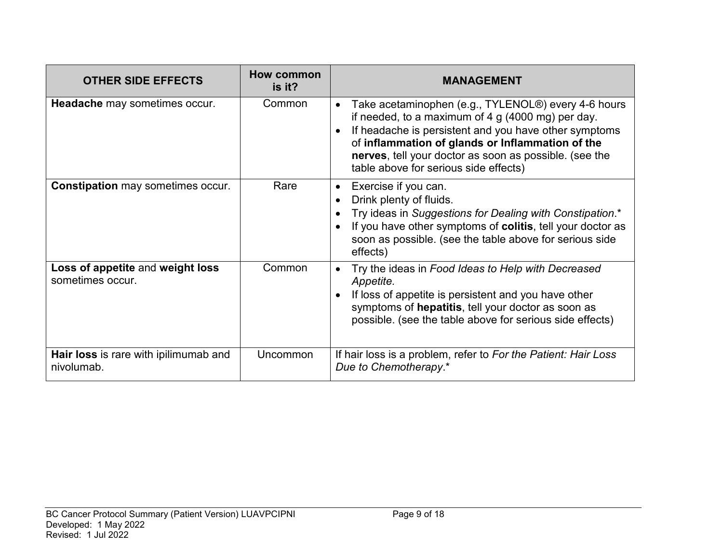| <b>OTHER SIDE EFFECTS</b>                            | <b>How common</b><br>is it? | <b>MANAGEMENT</b>                                                                                                                                                                                                                                                                                                        |
|------------------------------------------------------|-----------------------------|--------------------------------------------------------------------------------------------------------------------------------------------------------------------------------------------------------------------------------------------------------------------------------------------------------------------------|
| Headache may sometimes occur.                        | Common                      | Take acetaminophen (e.g., TYLENOL®) every 4-6 hours<br>if needed, to a maximum of 4 g (4000 mg) per day.<br>If headache is persistent and you have other symptoms<br>of inflammation of glands or Inflammation of the<br>nerves, tell your doctor as soon as possible. (see the<br>table above for serious side effects) |
| <b>Constipation</b> may sometimes occur.             | Rare                        | Exercise if you can.<br>Drink plenty of fluids.<br>Try ideas in Suggestions for Dealing with Constipation.*<br>If you have other symptoms of colitis, tell your doctor as<br>soon as possible. (see the table above for serious side<br>effects)                                                                         |
| Loss of appetite and weight loss<br>sometimes occur. | Common                      | Try the ideas in Food Ideas to Help with Decreased<br>Appetite.<br>If loss of appetite is persistent and you have other<br>symptoms of hepatitis, tell your doctor as soon as<br>possible. (see the table above for serious side effects)                                                                                |
| Hair loss is rare with ipilimumab and<br>nivolumab.  | Uncommon                    | If hair loss is a problem, refer to For the Patient: Hair Loss<br>Due to Chemotherapy.*                                                                                                                                                                                                                                  |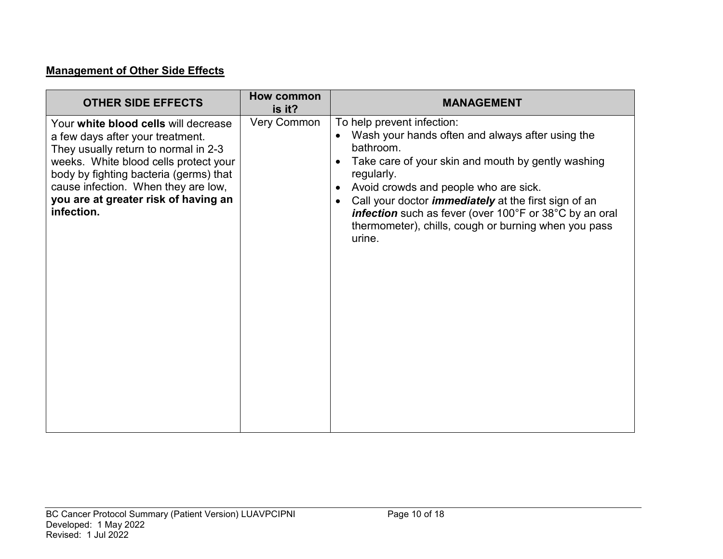# **Management of Other Side Effects**

| <b>OTHER SIDE EFFECTS</b>                                                                                                                                                                                                                                                                        | How common<br>is it? | <b>MANAGEMENT</b>                                                                                                                                                                                                                                                                                                                                                                                   |
|--------------------------------------------------------------------------------------------------------------------------------------------------------------------------------------------------------------------------------------------------------------------------------------------------|----------------------|-----------------------------------------------------------------------------------------------------------------------------------------------------------------------------------------------------------------------------------------------------------------------------------------------------------------------------------------------------------------------------------------------------|
| Your white blood cells will decrease<br>a few days after your treatment.<br>They usually return to normal in 2-3<br>weeks. White blood cells protect your<br>body by fighting bacteria (germs) that<br>cause infection. When they are low,<br>you are at greater risk of having an<br>infection. | <b>Very Common</b>   | To help prevent infection:<br>Wash your hands often and always after using the<br>bathroom.<br>Take care of your skin and mouth by gently washing<br>regularly.<br>Avoid crowds and people who are sick.<br>Call your doctor <i>immediately</i> at the first sign of an<br>infection such as fever (over 100°F or 38°C by an oral<br>thermometer), chills, cough or burning when you pass<br>urine. |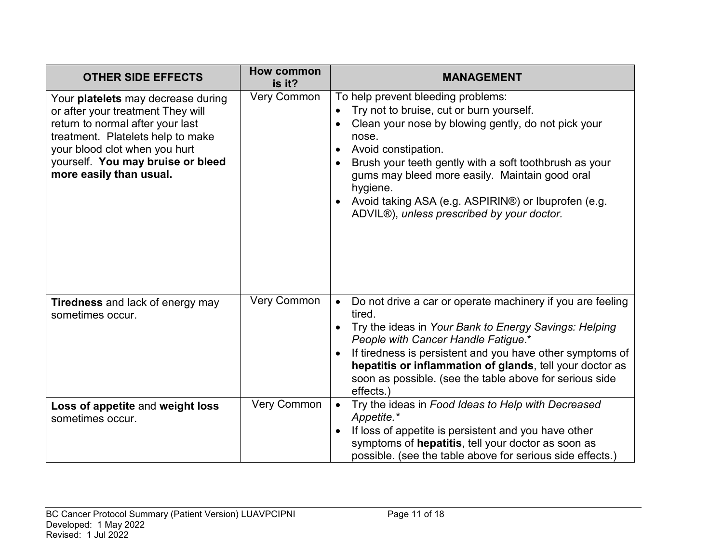| <b>OTHER SIDE EFFECTS</b>                                                                                                                                                                                                                         | <b>How common</b><br>is it? | <b>MANAGEMENT</b>                                                                                                                                                                                                                                                                                                                                                                                  |
|---------------------------------------------------------------------------------------------------------------------------------------------------------------------------------------------------------------------------------------------------|-----------------------------|----------------------------------------------------------------------------------------------------------------------------------------------------------------------------------------------------------------------------------------------------------------------------------------------------------------------------------------------------------------------------------------------------|
| Your platelets may decrease during<br>or after your treatment They will<br>return to normal after your last<br>treatment. Platelets help to make<br>your blood clot when you hurt<br>yourself. You may bruise or bleed<br>more easily than usual. | <b>Very Common</b>          | To help prevent bleeding problems:<br>Try not to bruise, cut or burn yourself.<br>Clean your nose by blowing gently, do not pick your<br>nose.<br>Avoid constipation.<br>Brush your teeth gently with a soft toothbrush as your<br>gums may bleed more easily. Maintain good oral<br>hygiene.<br>Avoid taking ASA (e.g. ASPIRIN®) or Ibuprofen (e.g.<br>ADVIL®), unless prescribed by your doctor. |
| <b>Tiredness</b> and lack of energy may<br>sometimes occur.                                                                                                                                                                                       | Very Common                 | Do not drive a car or operate machinery if you are feeling<br>$\bullet$<br>tired.<br>Try the ideas in Your Bank to Energy Savings: Helping<br>People with Cancer Handle Fatigue.*<br>If tiredness is persistent and you have other symptoms of<br>hepatitis or inflammation of glands, tell your doctor as<br>soon as possible. (see the table above for serious side<br>effects.)                 |
| Loss of appetite and weight loss<br>sometimes occur.                                                                                                                                                                                              | <b>Very Common</b>          | Try the ideas in Food Ideas to Help with Decreased<br>Appetite.*<br>If loss of appetite is persistent and you have other<br>symptoms of hepatitis, tell your doctor as soon as<br>possible. (see the table above for serious side effects.)                                                                                                                                                        |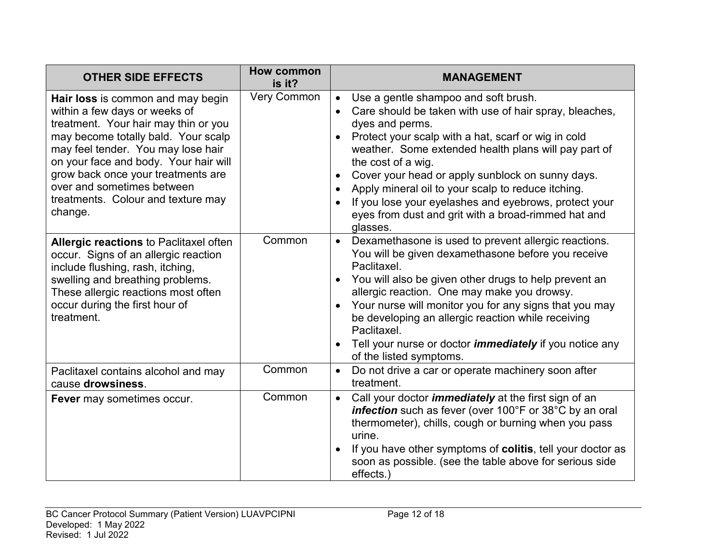| <b>OTHER SIDE EFFECTS</b>                                                                                                                                                                                                                                                                                                                             | <b>How common</b><br>is it? | <b>MANAGEMENT</b>                                                                                                                                                                                                                                                                                                                                                                                                                                                                                                      |
|-------------------------------------------------------------------------------------------------------------------------------------------------------------------------------------------------------------------------------------------------------------------------------------------------------------------------------------------------------|-----------------------------|------------------------------------------------------------------------------------------------------------------------------------------------------------------------------------------------------------------------------------------------------------------------------------------------------------------------------------------------------------------------------------------------------------------------------------------------------------------------------------------------------------------------|
| Hair loss is common and may begin<br>within a few days or weeks of<br>treatment. Your hair may thin or you<br>may become totally bald. Your scalp<br>may feel tender. You may lose hair<br>on your face and body. Your hair will<br>grow back once your treatments are<br>over and sometimes between<br>treatments. Colour and texture may<br>change. | <b>Very Common</b>          | Use a gentle shampoo and soft brush.<br>Care should be taken with use of hair spray, bleaches,<br>$\bullet$<br>dyes and perms.<br>Protect your scalp with a hat, scarf or wig in cold<br>weather. Some extended health plans will pay part of<br>the cost of a wig.<br>Cover your head or apply sunblock on sunny days.<br>Apply mineral oil to your scalp to reduce itching.<br>$\bullet$<br>If you lose your eyelashes and eyebrows, protect your<br>eyes from dust and grit with a broad-rimmed hat and<br>glasses. |
| Allergic reactions to Paclitaxel often<br>occur. Signs of an allergic reaction<br>include flushing, rash, itching,<br>swelling and breathing problems.<br>These allergic reactions most often<br>occur during the first hour of<br>treatment.                                                                                                         | Common                      | Dexamethasone is used to prevent allergic reactions.<br>$\bullet$<br>You will be given dexamethasone before you receive<br>Paclitaxel.<br>You will also be given other drugs to help prevent an<br>allergic reaction. One may make you drowsy.<br>Your nurse will monitor you for any signs that you may<br>$\bullet$<br>be developing an allergic reaction while receiving<br>Paclitaxel.<br>Tell your nurse or doctor <i>immediately</i> if you notice any<br>of the listed symptoms.                                |
| Paclitaxel contains alcohol and may<br>cause drowsiness.                                                                                                                                                                                                                                                                                              | Common                      | Do not drive a car or operate machinery soon after<br>$\bullet$<br>treatment.                                                                                                                                                                                                                                                                                                                                                                                                                                          |
| Fever may sometimes occur.                                                                                                                                                                                                                                                                                                                            | Common                      | Call your doctor <i>immediately</i> at the first sign of an<br>$\bullet$<br>infection such as fever (over 100°F or 38°C by an oral<br>thermometer), chills, cough or burning when you pass<br>urine.<br>If you have other symptoms of colitis, tell your doctor as<br>soon as possible. (see the table above for serious side<br>effects.)                                                                                                                                                                             |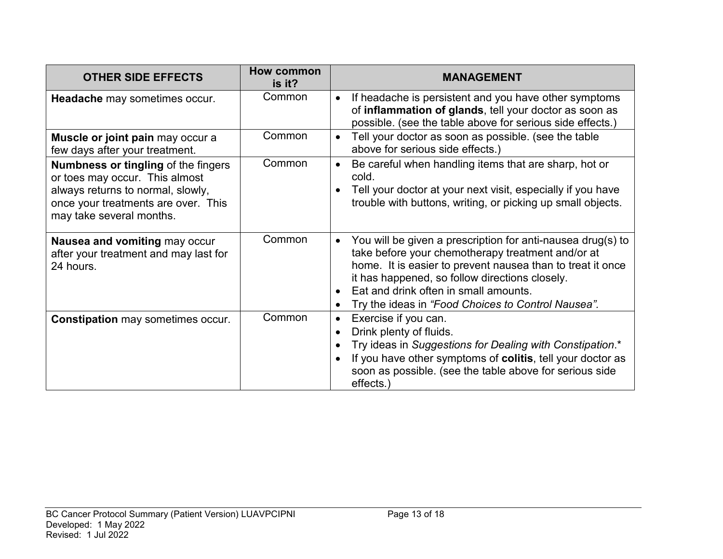| <b>OTHER SIDE EFFECTS</b>                                                                                                                                                            | How common<br>is it? | <b>MANAGEMENT</b>                                                                                                                                                                                                                                                                                                                            |
|--------------------------------------------------------------------------------------------------------------------------------------------------------------------------------------|----------------------|----------------------------------------------------------------------------------------------------------------------------------------------------------------------------------------------------------------------------------------------------------------------------------------------------------------------------------------------|
| Headache may sometimes occur.                                                                                                                                                        | Common               | If headache is persistent and you have other symptoms<br>of inflammation of glands, tell your doctor as soon as<br>possible. (see the table above for serious side effects.)                                                                                                                                                                 |
| Muscle or joint pain may occur a<br>few days after your treatment.                                                                                                                   | Common               | Tell your doctor as soon as possible. (see the table<br>$\bullet$<br>above for serious side effects.)                                                                                                                                                                                                                                        |
| <b>Numbness or tingling of the fingers</b><br>or toes may occur. This almost<br>always returns to normal, slowly,<br>once your treatments are over. This<br>may take several months. | Common               | Be careful when handling items that are sharp, hot or<br>$\bullet$<br>cold.<br>Tell your doctor at your next visit, especially if you have<br>trouble with buttons, writing, or picking up small objects.                                                                                                                                    |
| Nausea and vomiting may occur<br>after your treatment and may last for<br>24 hours.                                                                                                  | Common               | You will be given a prescription for anti-nausea drug(s) to<br>$\bullet$<br>take before your chemotherapy treatment and/or at<br>home. It is easier to prevent nausea than to treat it once<br>it has happened, so follow directions closely.<br>Eat and drink often in small amounts.<br>Try the ideas in "Food Choices to Control Nausea". |
| <b>Constipation may sometimes occur.</b>                                                                                                                                             | Common               | Exercise if you can.<br>$\bullet$<br>Drink plenty of fluids.<br>Try ideas in Suggestions for Dealing with Constipation.*<br>If you have other symptoms of colitis, tell your doctor as<br>soon as possible. (see the table above for serious side<br>effects.)                                                                               |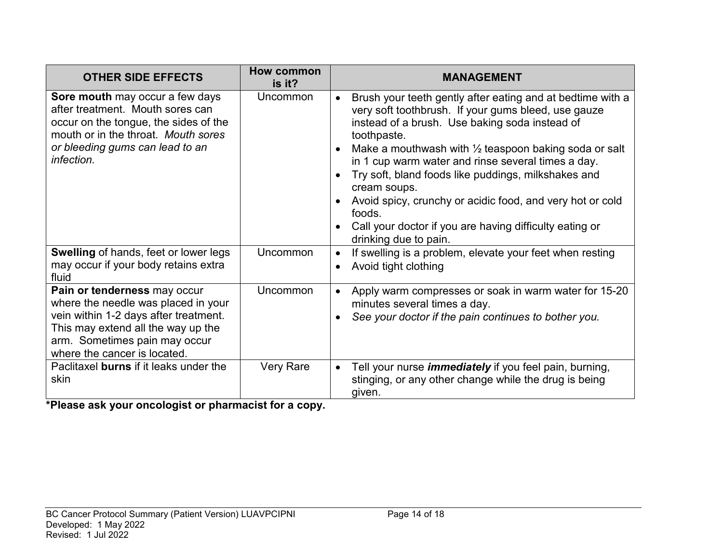| <b>OTHER SIDE EFFECTS</b>                                                                                                                                                                                           | <b>How common</b><br>is it? | <b>MANAGEMENT</b>                                                                                                                                                                                                                                                                                                                                                                                                                                                                                                                                           |
|---------------------------------------------------------------------------------------------------------------------------------------------------------------------------------------------------------------------|-----------------------------|-------------------------------------------------------------------------------------------------------------------------------------------------------------------------------------------------------------------------------------------------------------------------------------------------------------------------------------------------------------------------------------------------------------------------------------------------------------------------------------------------------------------------------------------------------------|
| Sore mouth may occur a few days<br>after treatment. Mouth sores can<br>occur on the tongue, the sides of the<br>mouth or in the throat. Mouth sores<br>or bleeding gums can lead to an<br>infection.                | Uncommon                    | Brush your teeth gently after eating and at bedtime with a<br>$\bullet$<br>very soft toothbrush. If your gums bleed, use gauze<br>instead of a brush. Use baking soda instead of<br>toothpaste.<br>Make a mouthwash with $\frac{1}{2}$ teaspoon baking soda or salt<br>in 1 cup warm water and rinse several times a day.<br>Try soft, bland foods like puddings, milkshakes and<br>cream soups.<br>Avoid spicy, crunchy or acidic food, and very hot or cold<br>foods.<br>Call your doctor if you are having difficulty eating or<br>drinking due to pain. |
| Swelling of hands, feet or lower legs<br>may occur if your body retains extra<br>fluid                                                                                                                              | Uncommon                    | If swelling is a problem, elevate your feet when resting<br>Avoid tight clothing                                                                                                                                                                                                                                                                                                                                                                                                                                                                            |
| Pain or tenderness may occur<br>where the needle was placed in your<br>vein within 1-2 days after treatment.<br>This may extend all the way up the<br>arm. Sometimes pain may occur<br>where the cancer is located. | <b>Uncommon</b>             | Apply warm compresses or soak in warm water for 15-20<br>minutes several times a day.<br>See your doctor if the pain continues to bother you.                                                                                                                                                                                                                                                                                                                                                                                                               |
| Paclitaxel burns if it leaks under the<br>skin                                                                                                                                                                      | <b>Very Rare</b>            | Tell your nurse <i>immediately</i> if you feel pain, burning,<br>$\bullet$<br>stinging, or any other change while the drug is being<br>given.                                                                                                                                                                                                                                                                                                                                                                                                               |

**\*Please ask your oncologist or pharmacist for a copy.**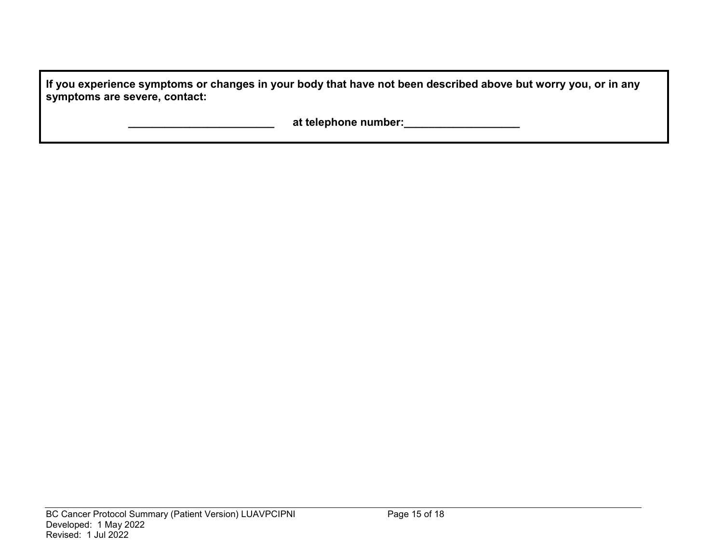**If you experience symptoms or changes in your body that have not been described above but worry you, or in any symptoms are severe, contact:**

 **\_\_\_\_\_\_\_\_\_\_\_\_\_\_\_\_\_\_\_\_\_\_\_\_ at telephone number:\_\_\_\_\_\_\_\_\_\_\_\_\_\_\_\_\_\_\_**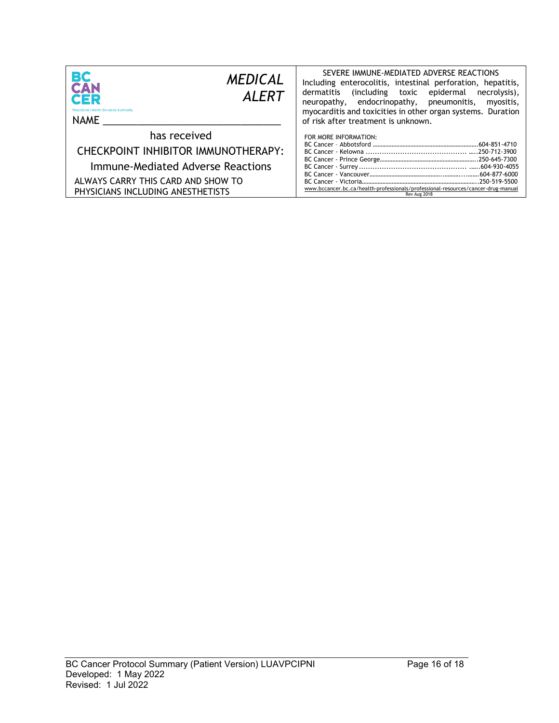| <b>BC</b><br>CAN<br><b>MEDICAL</b><br><b>ALERT</b><br>CER<br><b>Provincial Health Services Authority</b><br>NAME                                                    | SEVERE IMMUNE-MEDIATED ADVERSE REACTIONS<br>Including enterocolitis, intestinal perforation, hepatitis,<br>dermatitis<br>(including toxic epidermal<br>necrolysis),<br>neuropathy, endocrinopathy, pneumonitis,<br>myositis,<br>myocarditis and toxicities in other organ systems. Duration<br>of risk after treatment is unknown. |
|---------------------------------------------------------------------------------------------------------------------------------------------------------------------|------------------------------------------------------------------------------------------------------------------------------------------------------------------------------------------------------------------------------------------------------------------------------------------------------------------------------------|
| has received<br>CHECKPOINT INHIBITOR IMMUNOTHERAPY:<br>Immune-Mediated Adverse Reactions<br>ALWAYS CARRY THIS CARD AND SHOW TO<br>PHYSICIANS INCLUDING ANESTHETISTS | FOR MORE INFORMATION:<br>www.bccancer.bc.ca/health-professionals/professional-resources/cancer-drug-manual<br>Rev Aug 2018                                                                                                                                                                                                         |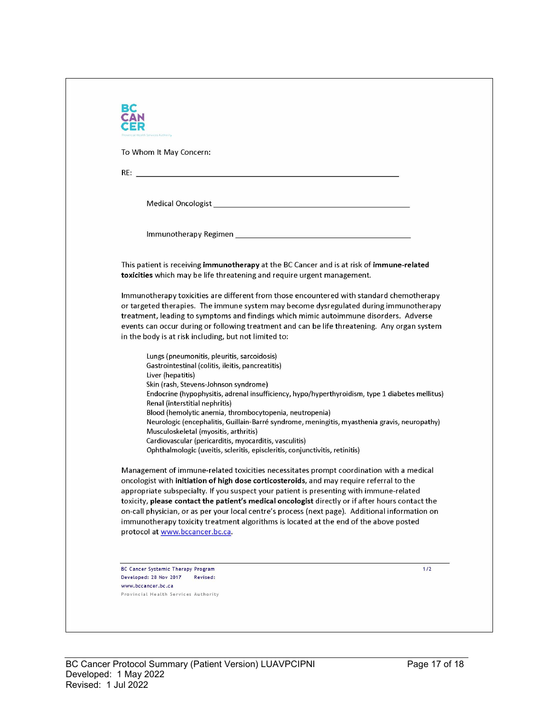| To Whom It May Concern:<br>Medical Oncologist New York and Service Contract of the Contract of the Contract of the Contract of the Contract of the Contract of the Contract of the Contract of the Contract of the Contract of the Contract of the Contra |                                                                                                 |
|-----------------------------------------------------------------------------------------------------------------------------------------------------------------------------------------------------------------------------------------------------------|-------------------------------------------------------------------------------------------------|
|                                                                                                                                                                                                                                                           |                                                                                                 |
|                                                                                                                                                                                                                                                           |                                                                                                 |
|                                                                                                                                                                                                                                                           |                                                                                                 |
|                                                                                                                                                                                                                                                           |                                                                                                 |
|                                                                                                                                                                                                                                                           |                                                                                                 |
| This patient is receiving immunotherapy at the BC Cancer and is at risk of immune-related<br>toxicities which may be life threatening and require urgent management.                                                                                      |                                                                                                 |
| Immunotherapy toxicities are different from those encountered with standard chemotherapy<br>or targeted therapies. The immune system may become dysregulated during immunotherapy                                                                         |                                                                                                 |
| treatment, leading to symptoms and findings which mimic autoimmune disorders. Adverse                                                                                                                                                                     |                                                                                                 |
| events can occur during or following treatment and can be life threatening. Any organ system<br>in the body is at risk including, but not limited to:                                                                                                     |                                                                                                 |
| Lungs (pneumonitis, pleuritis, sarcoidosis)                                                                                                                                                                                                               |                                                                                                 |
| Gastrointestinal (colitis, ileitis, pancreatitis)                                                                                                                                                                                                         |                                                                                                 |
| Liver (hepatitis)<br>Skin (rash, Stevens-Johnson syndrome)                                                                                                                                                                                                |                                                                                                 |
| Renal (interstitial nephritis)                                                                                                                                                                                                                            | Endocrine (hypophysitis, adrenal insufficiency, hypo/hyperthyroidism, type 1 diabetes mellitus) |
| Blood (hemolytic anemia, thrombocytopenia, neutropenia)                                                                                                                                                                                                   | Neurologic (encephalitis, Guillain-Barré syndrome, meningitis, myasthenia gravis, neuropathy)   |
| Musculoskeletal (myositis, arthritis)                                                                                                                                                                                                                     |                                                                                                 |
| Cardiovascular (pericarditis, myocarditis, vasculitis)<br>Ophthalmologic (uveitis, scleritis, episcleritis, conjunctivitis, retinitis)                                                                                                                    |                                                                                                 |
| Management of immune-related toxicities necessitates prompt coordination with a medical<br>oncologist with initiation of high dose corticosteroids, and may require referral to the                                                                       |                                                                                                 |
| appropriate subspecialty. If you suspect your patient is presenting with immune-related                                                                                                                                                                   |                                                                                                 |
| toxicity, please contact the patient's medical oncologist directly or if after hours contact the<br>on-call physician, or as per your local centre's process (next page). Additional information on                                                       |                                                                                                 |
| immunotherapy toxicity treatment algorithms is located at the end of the above posted                                                                                                                                                                     |                                                                                                 |
| protocol at www.bccancer.bc.ca.                                                                                                                                                                                                                           |                                                                                                 |
|                                                                                                                                                                                                                                                           |                                                                                                 |